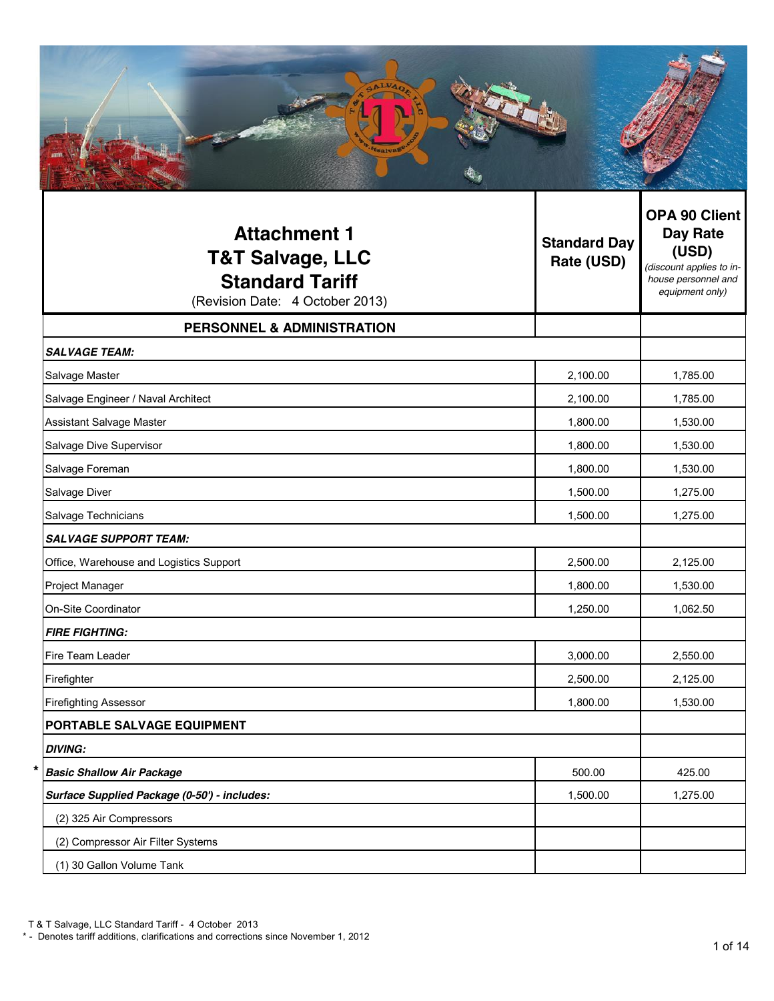| <b>Attachment 1</b><br><b>T&amp;T Salvage, LLC</b><br><b>Standard Tariff</b><br>(Revision Date: 4 October 2013) | <b>Standard Day</b><br>Rate (USD) | OPA 90 Client<br><b>Day Rate</b><br>(USD)<br>(discount applies to in-<br>house personnel and<br>equipment only) |
|-----------------------------------------------------------------------------------------------------------------|-----------------------------------|-----------------------------------------------------------------------------------------------------------------|
| <b>PERSONNEL &amp; ADMINISTRATION</b>                                                                           |                                   |                                                                                                                 |
| <b>SALVAGE TEAM:</b>                                                                                            |                                   |                                                                                                                 |
| Salvage Master                                                                                                  | 2,100.00                          | 1,785.00                                                                                                        |
| Salvage Engineer / Naval Architect                                                                              | 2,100.00                          | 1,785.00                                                                                                        |
| Assistant Salvage Master                                                                                        | 1,800.00                          | 1,530.00                                                                                                        |
| Salvage Dive Supervisor                                                                                         | 1,800.00                          | 1,530.00                                                                                                        |
| Salvage Foreman                                                                                                 | 1,800.00                          | 1,530.00                                                                                                        |
| Salvage Diver                                                                                                   | 1,500.00                          | 1,275.00                                                                                                        |
| Salvage Technicians                                                                                             | 1,500.00                          | 1,275.00                                                                                                        |
| <b>SALVAGE SUPPORT TEAM:</b>                                                                                    |                                   |                                                                                                                 |
| Office, Warehouse and Logistics Support                                                                         | 2,500.00                          | 2,125.00                                                                                                        |
| Project Manager                                                                                                 | 1,800.00                          | 1,530.00                                                                                                        |
| On-Site Coordinator                                                                                             | 1,250.00                          | 1,062.50                                                                                                        |
| <b>FIRE FIGHTING:</b>                                                                                           |                                   |                                                                                                                 |
| Fire Team Leader                                                                                                | 3,000.00                          | 2,550.00                                                                                                        |
| Firefighter                                                                                                     | 2,500.00                          | 2,125.00                                                                                                        |
| <b>Firefighting Assessor</b>                                                                                    | 1,800.00                          | 1,530.00                                                                                                        |
| PORTABLE SALVAGE EQUIPMENT                                                                                      |                                   |                                                                                                                 |
| <b>DIVING:</b>                                                                                                  |                                   |                                                                                                                 |
| <b>Basic Shallow Air Package</b>                                                                                | 500.00                            | 425.00                                                                                                          |
| Surface Supplied Package (0-50') - includes:                                                                    | 1,500.00                          | 1,275.00                                                                                                        |
| (2) 325 Air Compressors                                                                                         |                                   |                                                                                                                 |
| (2) Compressor Air Filter Systems                                                                               |                                   |                                                                                                                 |
| (1) 30 Gallon Volume Tank                                                                                       |                                   |                                                                                                                 |

<sup>\* -</sup> Denotes tariff additions, clarifications and corrections since November 1, 2012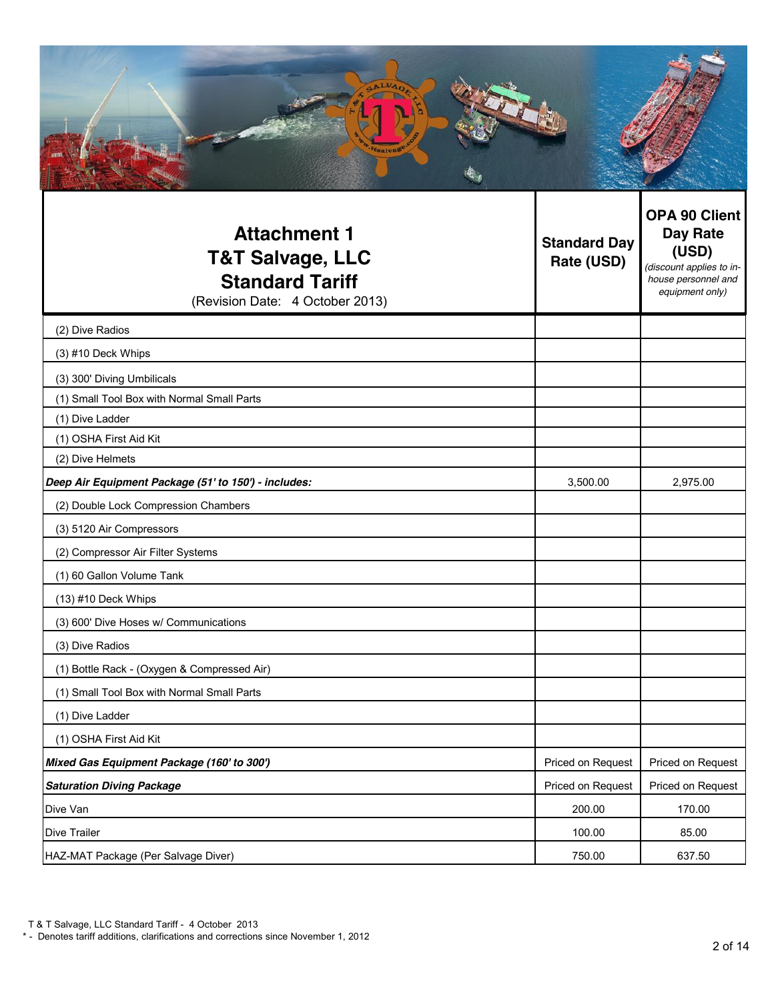| <b>Attachment 1</b><br><b>T&amp;T Salvage, LLC</b><br><b>Standard Tariff</b><br>(Revision Date: 4 October 2013) | <b>Standard Day</b><br>Rate (USD) | <b>OPA 90 Client</b><br><b>Day Rate</b><br>(USD)<br>(discount applies to in-<br>house personnel and<br>equipment only) |
|-----------------------------------------------------------------------------------------------------------------|-----------------------------------|------------------------------------------------------------------------------------------------------------------------|
| (2) Dive Radios                                                                                                 |                                   |                                                                                                                        |
| (3) #10 Deck Whips                                                                                              |                                   |                                                                                                                        |
| (3) 300' Diving Umbilicals                                                                                      |                                   |                                                                                                                        |
| (1) Small Tool Box with Normal Small Parts                                                                      |                                   |                                                                                                                        |
| (1) Dive Ladder                                                                                                 |                                   |                                                                                                                        |
| (1) OSHA First Aid Kit                                                                                          |                                   |                                                                                                                        |
| (2) Dive Helmets                                                                                                |                                   |                                                                                                                        |
| Deep Air Equipment Package (51' to 150') - includes:<br>(2) Double Lock Compression Chambers                    | 3,500.00                          | 2,975.00                                                                                                               |
| (3) 5120 Air Compressors                                                                                        |                                   |                                                                                                                        |
| (2) Compressor Air Filter Systems                                                                               |                                   |                                                                                                                        |
| (1) 60 Gallon Volume Tank                                                                                       |                                   |                                                                                                                        |
| (13) #10 Deck Whips                                                                                             |                                   |                                                                                                                        |
| (3) 600' Dive Hoses w/ Communications                                                                           |                                   |                                                                                                                        |
| (3) Dive Radios                                                                                                 |                                   |                                                                                                                        |
| (1) Bottle Rack - (Oxygen & Compressed Air)                                                                     |                                   |                                                                                                                        |
| (1) Small Tool Box with Normal Small Parts                                                                      |                                   |                                                                                                                        |
| (1) Dive Ladder                                                                                                 |                                   |                                                                                                                        |
| (1) OSHA First Aid Kit                                                                                          |                                   |                                                                                                                        |
| Mixed Gas Equipment Package (160' to 300')                                                                      | Priced on Request                 | Priced on Request                                                                                                      |
| <b>Saturation Diving Package</b>                                                                                | Priced on Request                 | Priced on Request                                                                                                      |
| Dive Van                                                                                                        | 200.00                            | 170.00                                                                                                                 |
| Dive Trailer                                                                                                    | 100.00                            | 85.00                                                                                                                  |
| HAZ-MAT Package (Per Salvage Diver)                                                                             | 750.00                            | 637.50                                                                                                                 |

<sup>\* -</sup> Denotes tariff additions, clarifications and corrections since November 1, 2012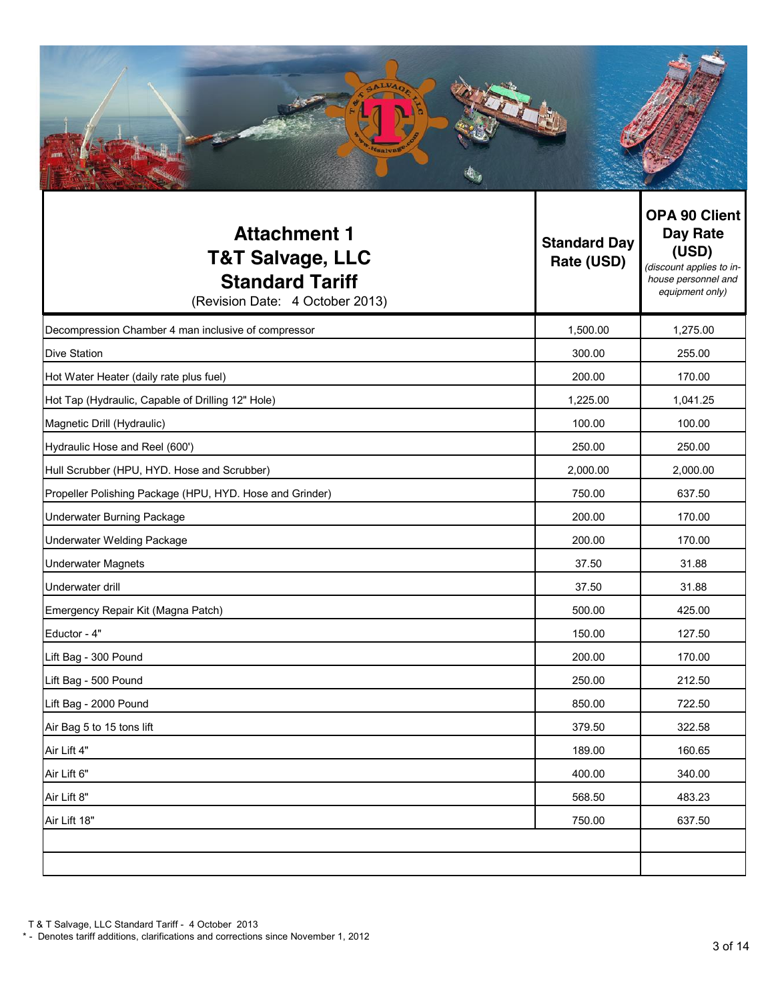| <b>Attachment 1</b><br><b>T&amp;T Salvage, LLC</b><br><b>Standard Tariff</b><br>(Revision Date: 4 October 2013) | <b>Standard Day</b><br>Rate (USD) | <b>OPA 90 Client</b><br>Day Rate<br>(USD)<br>(discount applies to in-<br>house personnel and<br>equipment only) |
|-----------------------------------------------------------------------------------------------------------------|-----------------------------------|-----------------------------------------------------------------------------------------------------------------|
| Decompression Chamber 4 man inclusive of compressor                                                             | 1,500.00                          | 1,275.00                                                                                                        |
| Dive Station                                                                                                    | 300.00                            | 255.00                                                                                                          |
| Hot Water Heater (daily rate plus fuel)                                                                         | 200.00                            | 170.00                                                                                                          |
| Hot Tap (Hydraulic, Capable of Drilling 12" Hole)                                                               | 1,225.00                          | 1,041.25                                                                                                        |
| Magnetic Drill (Hydraulic)                                                                                      | 100.00                            | 100.00                                                                                                          |
| Hydraulic Hose and Reel (600')                                                                                  | 250.00                            | 250.00                                                                                                          |
| Hull Scrubber (HPU, HYD. Hose and Scrubber)                                                                     | 2,000.00                          | 2,000.00                                                                                                        |
| Propeller Polishing Package (HPU, HYD. Hose and Grinder)                                                        | 750.00                            | 637.50                                                                                                          |
| Underwater Burning Package                                                                                      | 200.00                            | 170.00                                                                                                          |
| Underwater Welding Package                                                                                      | 200.00                            | 170.00                                                                                                          |
| <b>Underwater Magnets</b>                                                                                       | 37.50                             | 31.88                                                                                                           |
| Underwater drill                                                                                                | 37.50                             | 31.88                                                                                                           |
| Emergency Repair Kit (Magna Patch)                                                                              | 500.00                            | 425.00                                                                                                          |
| Eductor - 4"                                                                                                    | 150.00                            | 127.50                                                                                                          |
| Lift Bag - 300 Pound                                                                                            | 200.00                            | 170.00                                                                                                          |
| Lift Bag - 500 Pound                                                                                            | 250.00                            | 212.50                                                                                                          |
| Lift Bag - 2000 Pound                                                                                           | 850.00                            | 722.50                                                                                                          |
| Air Bag 5 to 15 tons lift                                                                                       | 379.50                            | 322.58                                                                                                          |
| Air Lift 4"                                                                                                     | 189.00                            | 160.65                                                                                                          |
| Air Lift 6"                                                                                                     | 400.00                            | 340.00                                                                                                          |
| Air Lift 8"                                                                                                     | 568.50                            | 483.23                                                                                                          |
| Air Lift 18"                                                                                                    | 750.00                            | 637.50                                                                                                          |
|                                                                                                                 |                                   |                                                                                                                 |
|                                                                                                                 |                                   |                                                                                                                 |

<sup>\* -</sup> Denotes tariff additions, clarifications and corrections since November 1, 2012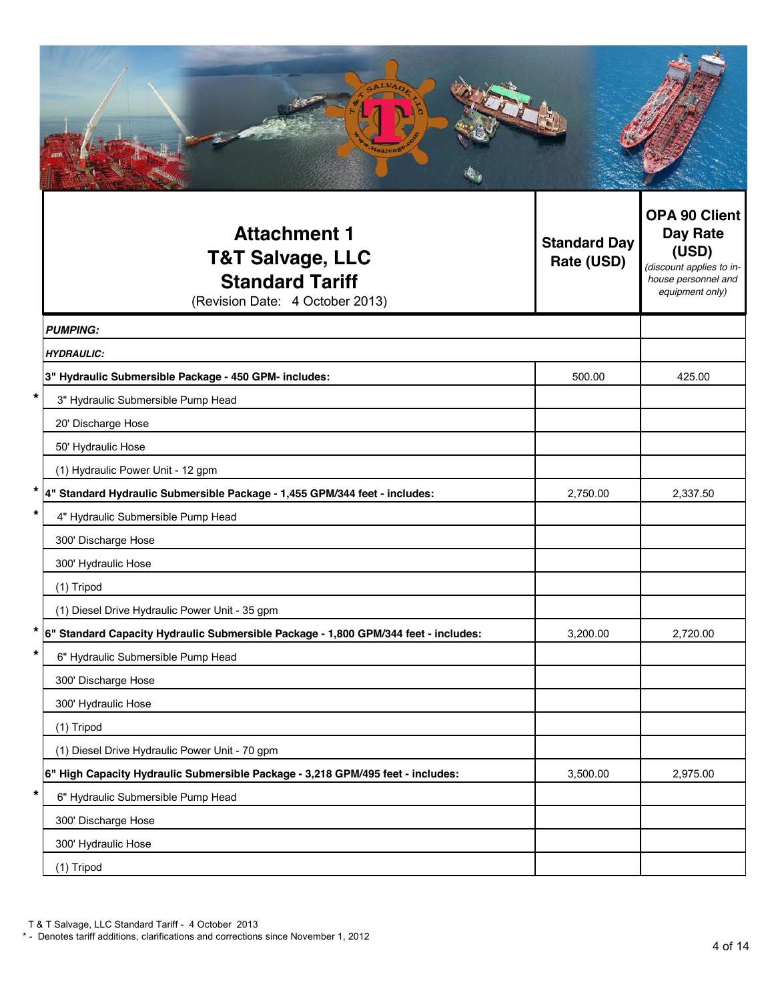| <b>Attachment 1</b><br><b>T&amp;T Salvage, LLC</b><br><b>Standard Tariff</b><br>(Revision Date: 4 October 2013) | <b>Standard Day</b><br>Rate (USD) | <b>OPA 90 Client</b><br><b>Day Rate</b><br>(USD)<br>(discount applies to in-<br>house personnel and<br>equipment only) |
|-----------------------------------------------------------------------------------------------------------------|-----------------------------------|------------------------------------------------------------------------------------------------------------------------|
| <b>PUMPING:</b>                                                                                                 |                                   |                                                                                                                        |
| <b>HYDRAULIC:</b>                                                                                               |                                   |                                                                                                                        |
| 3" Hydraulic Submersible Package - 450 GPM- includes:                                                           | 500.00                            | 425.00                                                                                                                 |
| *<br>3" Hydraulic Submersible Pump Head                                                                         |                                   |                                                                                                                        |
| 20' Discharge Hose                                                                                              |                                   |                                                                                                                        |
| 50' Hydraulic Hose                                                                                              |                                   |                                                                                                                        |
| (1) Hydraulic Power Unit - 12 gpm                                                                               |                                   |                                                                                                                        |
| 4" Standard Hydraulic Submersible Package - 1,455 GPM/344 feet - includes:                                      | 2,750.00                          | 2,337.50                                                                                                               |
| 4" Hydraulic Submersible Pump Head                                                                              |                                   |                                                                                                                        |
| 300' Discharge Hose                                                                                             |                                   |                                                                                                                        |
| 300' Hydraulic Hose                                                                                             |                                   |                                                                                                                        |
| (1) Tripod                                                                                                      |                                   |                                                                                                                        |
| (1) Diesel Drive Hydraulic Power Unit - 35 gpm                                                                  |                                   |                                                                                                                        |
| *<br>6" Standard Capacity Hydraulic Submersible Package - 1,800 GPM/344 feet - includes:                        | 3,200.00                          | 2,720.00                                                                                                               |
| *<br>6" Hydraulic Submersible Pump Head                                                                         |                                   |                                                                                                                        |
| 300' Discharge Hose                                                                                             |                                   |                                                                                                                        |
| 300' Hydraulic Hose                                                                                             |                                   |                                                                                                                        |
| (1) Tripod                                                                                                      |                                   |                                                                                                                        |
| (1) Diesel Drive Hydraulic Power Unit - 70 gpm                                                                  |                                   |                                                                                                                        |
| 6" High Capacity Hydraulic Submersible Package - 3,218 GPM/495 feet - includes:<br>*                            | 3,500.00                          | 2,975.00                                                                                                               |
| 6" Hydraulic Submersible Pump Head                                                                              |                                   |                                                                                                                        |
| 300' Discharge Hose                                                                                             |                                   |                                                                                                                        |
| 300' Hydraulic Hose                                                                                             |                                   |                                                                                                                        |
| (1) Tripod                                                                                                      |                                   |                                                                                                                        |

<sup>\* -</sup> Denotes tariff additions, clarifications and corrections since November 1, 2012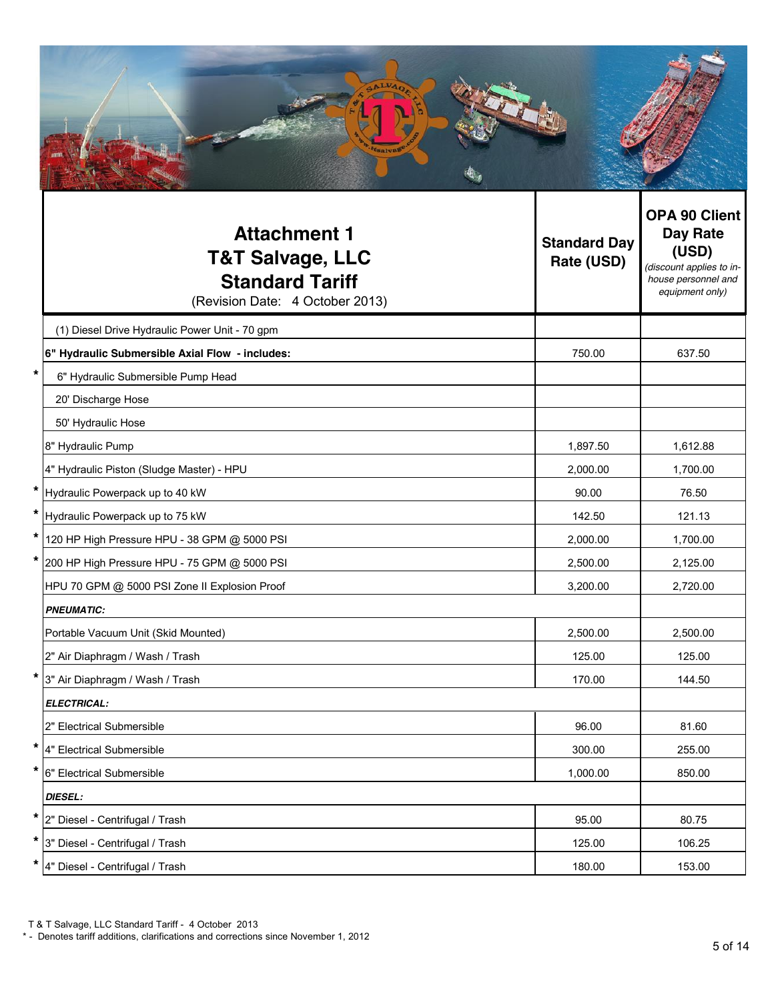|   | <b>Attachment 1</b><br><b>T&amp;T Salvage, LLC</b><br><b>Standard Tariff</b><br>(Revision Date: 4 October 2013) | <b>Standard Day</b><br>Rate (USD) | <b>OPA 90 Client</b><br>Day Rate<br>(USD)<br>(discount applies to in-<br>house personnel and<br>equipment only) |
|---|-----------------------------------------------------------------------------------------------------------------|-----------------------------------|-----------------------------------------------------------------------------------------------------------------|
|   | (1) Diesel Drive Hydraulic Power Unit - 70 gpm                                                                  |                                   |                                                                                                                 |
|   | 6" Hydraulic Submersible Axial Flow - includes:                                                                 | 750.00                            | 637.50                                                                                                          |
|   | 6" Hydraulic Submersible Pump Head                                                                              |                                   |                                                                                                                 |
|   | 20' Discharge Hose                                                                                              |                                   |                                                                                                                 |
|   | 50' Hydraulic Hose                                                                                              |                                   |                                                                                                                 |
|   | 8" Hydraulic Pump                                                                                               | 1,897.50                          | 1,612.88                                                                                                        |
|   | 4" Hydraulic Piston (Sludge Master) - HPU                                                                       | 2,000.00                          | 1,700.00                                                                                                        |
|   | * Hydraulic Powerpack up to 40 kW                                                                               | 90.00                             | 76.50                                                                                                           |
|   | Hydraulic Powerpack up to 75 kW                                                                                 | 142.50                            | 121.13                                                                                                          |
|   | * 120 HP High Pressure HPU - 38 GPM @ 5000 PSI                                                                  | 2,000.00                          | 1,700.00                                                                                                        |
| * | 200 HP High Pressure HPU - 75 GPM @ 5000 PSI                                                                    | 2,500.00                          | 2,125.00                                                                                                        |
|   | HPU 70 GPM @ 5000 PSI Zone II Explosion Proof                                                                   | 3,200.00                          | 2,720.00                                                                                                        |
|   | <b>PNEUMATIC:</b>                                                                                               |                                   |                                                                                                                 |
|   | Portable Vacuum Unit (Skid Mounted)                                                                             | 2,500.00                          | 2,500.00                                                                                                        |
|   | 2" Air Diaphragm / Wash / Trash                                                                                 | 125.00                            | 125.00                                                                                                          |
|   | * 3" Air Diaphragm / Wash / Trash                                                                               | 170.00                            | 144.50                                                                                                          |
|   | <b>ELECTRICAL:</b>                                                                                              |                                   |                                                                                                                 |
|   | 2" Electrical Submersible                                                                                       | 96.00                             | 81.60                                                                                                           |
|   | * 4" Electrical Submersible                                                                                     | 300.00                            | 255.00                                                                                                          |
|   | * 6" Electrical Submersible                                                                                     | 1,000.00                          | 850.00                                                                                                          |
|   | <b>DIESEL:</b>                                                                                                  |                                   |                                                                                                                 |
|   | * 2" Diesel - Centrifugal / Trash                                                                               | 95.00                             | 80.75                                                                                                           |
|   | * 3" Diesel - Centrifugal / Trash                                                                               | 125.00                            | 106.25                                                                                                          |
|   | * 4" Diesel - Centrifugal / Trash                                                                               | 180.00                            | 153.00                                                                                                          |

<sup>\* -</sup> Denotes tariff additions, clarifications and corrections since November 1, 2012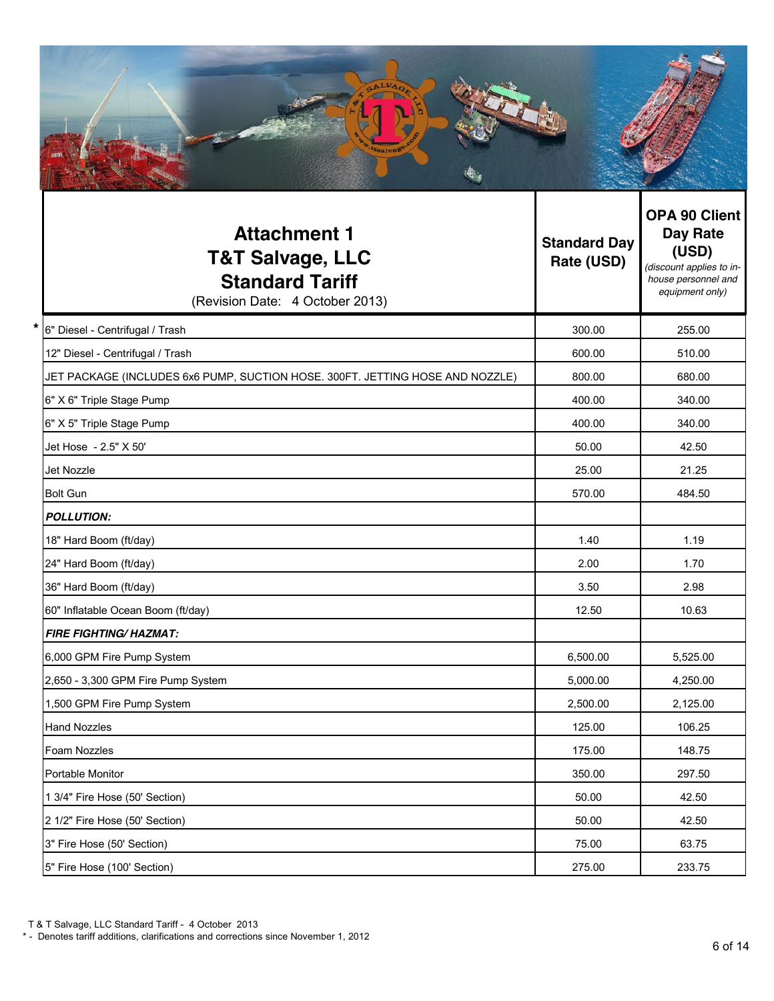| <b>Attachment 1</b><br><b>T&amp;T Salvage, LLC</b><br><b>Standard Tariff</b><br>(Revision Date: 4 October 2013) | <b>Standard Day</b><br>Rate (USD) | <b>OPA 90 Client</b><br><b>Day Rate</b><br>(USD)<br>(discount applies to in-<br>house personnel and<br>equipment only) |
|-----------------------------------------------------------------------------------------------------------------|-----------------------------------|------------------------------------------------------------------------------------------------------------------------|
| *.<br>6" Diesel - Centrifugal / Trash                                                                           | 300.00                            | 255.00                                                                                                                 |
| 12" Diesel - Centrifugal / Trash                                                                                | 600.00                            | 510.00                                                                                                                 |
| JET PACKAGE (INCLUDES 6x6 PUMP, SUCTION HOSE. 300FT. JETTING HOSE AND NOZZLE)                                   | 800.00                            | 680.00                                                                                                                 |
| 6" X 6" Triple Stage Pump                                                                                       | 400.00                            | 340.00                                                                                                                 |
| 6" X 5" Triple Stage Pump                                                                                       | 400.00                            | 340.00                                                                                                                 |
| Jet Hose - 2.5" X 50'                                                                                           | 50.00                             | 42.50                                                                                                                  |
| Jet Nozzle                                                                                                      | 25.00                             | 21.25                                                                                                                  |
| <b>Bolt Gun</b>                                                                                                 | 570.00                            | 484.50                                                                                                                 |
| <b>POLLUTION:</b>                                                                                               |                                   |                                                                                                                        |
| 18" Hard Boom (ft/day)                                                                                          | 1.40                              | 1.19                                                                                                                   |
| 24" Hard Boom (ft/day)                                                                                          | 2.00                              | 1.70                                                                                                                   |
| 36" Hard Boom (ft/day)                                                                                          | 3.50                              | 2.98                                                                                                                   |
| 60" Inflatable Ocean Boom (ft/day)                                                                              | 12.50                             | 10.63                                                                                                                  |
| <b>FIRE FIGHTING/ HAZMAT:</b>                                                                                   |                                   |                                                                                                                        |
| 6,000 GPM Fire Pump System                                                                                      | 6,500.00                          | 5,525.00                                                                                                               |
| 2,650 - 3,300 GPM Fire Pump System                                                                              | 5,000.00                          | 4,250.00                                                                                                               |
| 1,500 GPM Fire Pump System                                                                                      | 2,500.00                          | 2,125.00                                                                                                               |
| <b>Hand Nozzles</b>                                                                                             | 125.00                            | 106.25                                                                                                                 |
| Foam Nozzles                                                                                                    | 175.00                            | 148.75                                                                                                                 |
| Portable Monitor                                                                                                | 350.00                            | 297.50                                                                                                                 |
| 1 3/4" Fire Hose (50' Section)                                                                                  | 50.00                             | 42.50                                                                                                                  |
| 2 1/2" Fire Hose (50' Section)                                                                                  | 50.00                             | 42.50                                                                                                                  |
| 3" Fire Hose (50' Section)                                                                                      | 75.00                             | 63.75                                                                                                                  |
| 5" Fire Hose (100' Section)                                                                                     | 275.00                            | 233.75                                                                                                                 |

<sup>\* -</sup> Denotes tariff additions, clarifications and corrections since November 1, 2012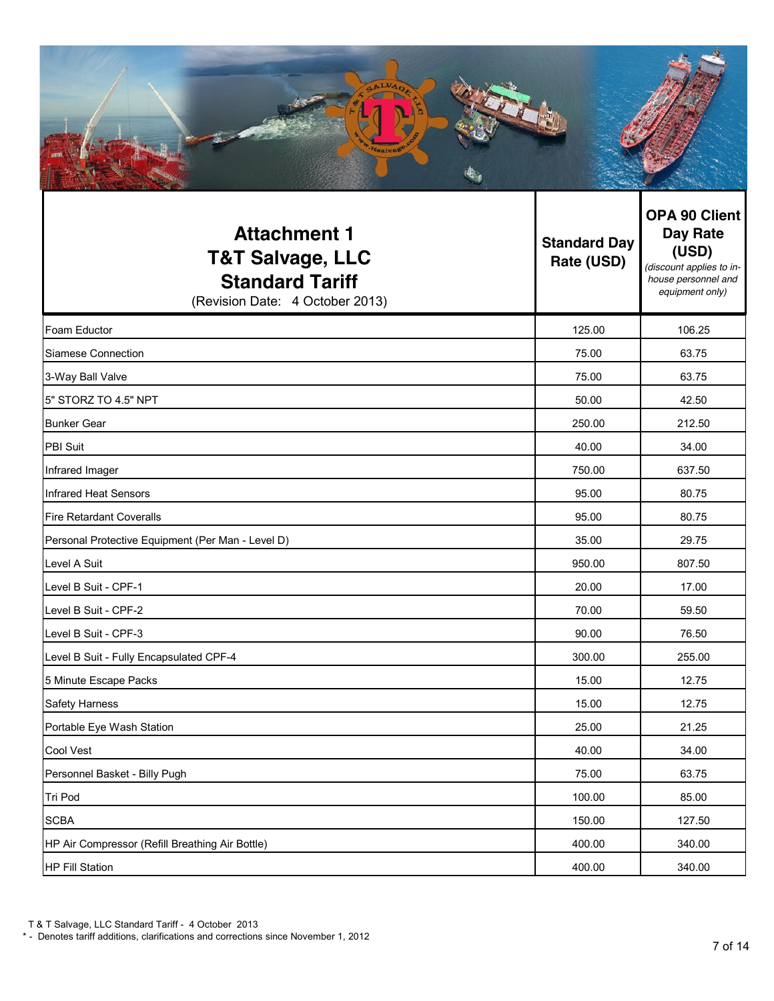| <b>ALVA</b><br>tsalval                                             |                                   |                                                                       |
|--------------------------------------------------------------------|-----------------------------------|-----------------------------------------------------------------------|
| <b>Attachment 1</b><br><b>T&amp;T Salvage, LLC</b><br>_ _ _ _<br>. | <b>Standard Day</b><br>Rate (USD) | OPA 90 Client<br><b>Day Rate</b><br>(USD)<br>(discount applies to in- |

| <b>Standard Tariff</b><br>(Revision Date: 4 October 2013) |        | alscount applies to in-<br>house personnel and<br>equipment only) |
|-----------------------------------------------------------|--------|-------------------------------------------------------------------|
| Foam Eductor                                              | 125.00 | 106.25                                                            |
| Siamese Connection                                        | 75.00  | 63.75                                                             |
| 3-Way Ball Valve                                          | 75.00  | 63.75                                                             |
| 5" STORZ TO 4.5" NPT                                      | 50.00  | 42.50                                                             |
| <b>Bunker Gear</b>                                        | 250.00 | 212.50                                                            |
| PBI Suit                                                  | 40.00  | 34.00                                                             |
| Infrared Imager                                           | 750.00 | 637.50                                                            |
| Infrared Heat Sensors                                     | 95.00  | 80.75                                                             |
| <b>Fire Retardant Coveralls</b>                           | 95.00  | 80.75                                                             |
| Personal Protective Equipment (Per Man - Level D)         | 35.00  | 29.75                                                             |
| Level A Suit                                              | 950.00 | 807.50                                                            |
| Level B Suit - CPF-1                                      | 20.00  | 17.00                                                             |
| Level B Suit - CPF-2                                      | 70.00  | 59.50                                                             |
| Level B Suit - CPF-3                                      | 90.00  | 76.50                                                             |
| Level B Suit - Fully Encapsulated CPF-4                   | 300.00 | 255.00                                                            |
| 5 Minute Escape Packs                                     | 15.00  | 12.75                                                             |
| <b>Safety Harness</b>                                     | 15.00  | 12.75                                                             |
| Portable Eye Wash Station                                 | 25.00  | 21.25                                                             |
| Cool Vest                                                 | 40.00  | 34.00                                                             |
| Personnel Basket - Billy Pugh                             | 75.00  | 63.75                                                             |
| Tri Pod                                                   | 100.00 | 85.00                                                             |
| <b>SCBA</b>                                               | 150.00 | 127.50                                                            |
| HP Air Compressor (Refill Breathing Air Bottle)           | 400.00 | 340.00                                                            |
| <b>HP Fill Station</b>                                    | 400.00 | 340.00                                                            |

<sup>\* -</sup> Denotes tariff additions, clarifications and corrections since November 1, 2012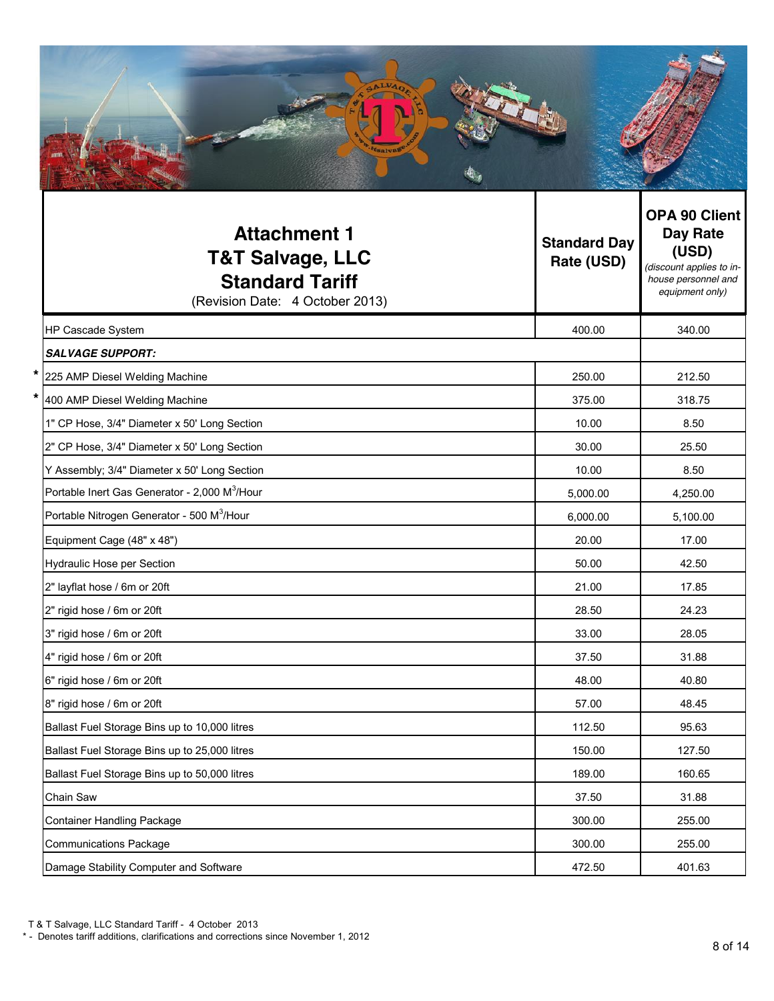| <b>Attachment 1</b><br><b>T&amp;T Salvage, LLC</b><br><b>Standard Tariff</b><br>(Revision Date: 4 October 2013) | <b>Standard Day</b><br>Rate (USD) | <b>OPA 90 Client</b><br>Day Rate<br>(USD)<br>(discount applies to in-<br>house personnel and<br>equipment only) |
|-----------------------------------------------------------------------------------------------------------------|-----------------------------------|-----------------------------------------------------------------------------------------------------------------|
| HP Cascade System                                                                                               | 400.00                            | 340.00                                                                                                          |
| <b>SALVAGE SUPPORT:</b>                                                                                         |                                   |                                                                                                                 |
| 225 AMP Diesel Welding Machine                                                                                  | 250.00                            | 212.50                                                                                                          |
| 400 AMP Diesel Welding Machine                                                                                  | 375.00                            | 318.75                                                                                                          |
| 1" CP Hose, 3/4" Diameter x 50' Long Section                                                                    | 10.00                             | 8.50                                                                                                            |
| 2" CP Hose, 3/4" Diameter x 50' Long Section                                                                    | 30.00                             | 25.50                                                                                                           |
| Y Assembly; 3/4" Diameter x 50' Long Section                                                                    | 10.00                             | 8.50                                                                                                            |
| Portable Inert Gas Generator - 2,000 M <sup>3</sup> /Hour                                                       | 5,000.00                          | 4,250.00                                                                                                        |
| Portable Nitrogen Generator - 500 M <sup>3</sup> /Hour                                                          | 6,000.00                          | 5,100.00                                                                                                        |
| Equipment Cage (48" x 48")                                                                                      | 20.00                             | 17.00                                                                                                           |
| <b>Hydraulic Hose per Section</b>                                                                               | 50.00                             | 42.50                                                                                                           |
| 2" layflat hose / 6m or 20ft                                                                                    | 21.00                             | 17.85                                                                                                           |
| 2" rigid hose / 6m or 20ft                                                                                      | 28.50                             | 24.23                                                                                                           |
| 3" rigid hose / 6m or 20ft                                                                                      | 33.00                             | 28.05                                                                                                           |
| 4" rigid hose / 6m or 20ft                                                                                      | 37.50                             | 31.88                                                                                                           |
| 6" rigid hose / 6m or 20ft                                                                                      | 48.00                             | 40.80                                                                                                           |
| 8" rigid hose / 6m or 20ft                                                                                      | 57.00                             | 48.45                                                                                                           |
| Ballast Fuel Storage Bins up to 10,000 litres                                                                   | 112.50                            | 95.63                                                                                                           |
| Ballast Fuel Storage Bins up to 25,000 litres                                                                   | 150.00                            | 127.50                                                                                                          |
| Ballast Fuel Storage Bins up to 50,000 litres                                                                   | 189.00                            | 160.65                                                                                                          |
| Chain Saw                                                                                                       | 37.50                             | 31.88                                                                                                           |
| <b>Container Handling Package</b>                                                                               | 300.00                            | 255.00                                                                                                          |
| <b>Communications Package</b>                                                                                   | 300.00                            | 255.00                                                                                                          |
| Damage Stability Computer and Software                                                                          | 472.50                            | 401.63                                                                                                          |

\* - Denotes tariff additions, clarifications and corrections since November 1, 2012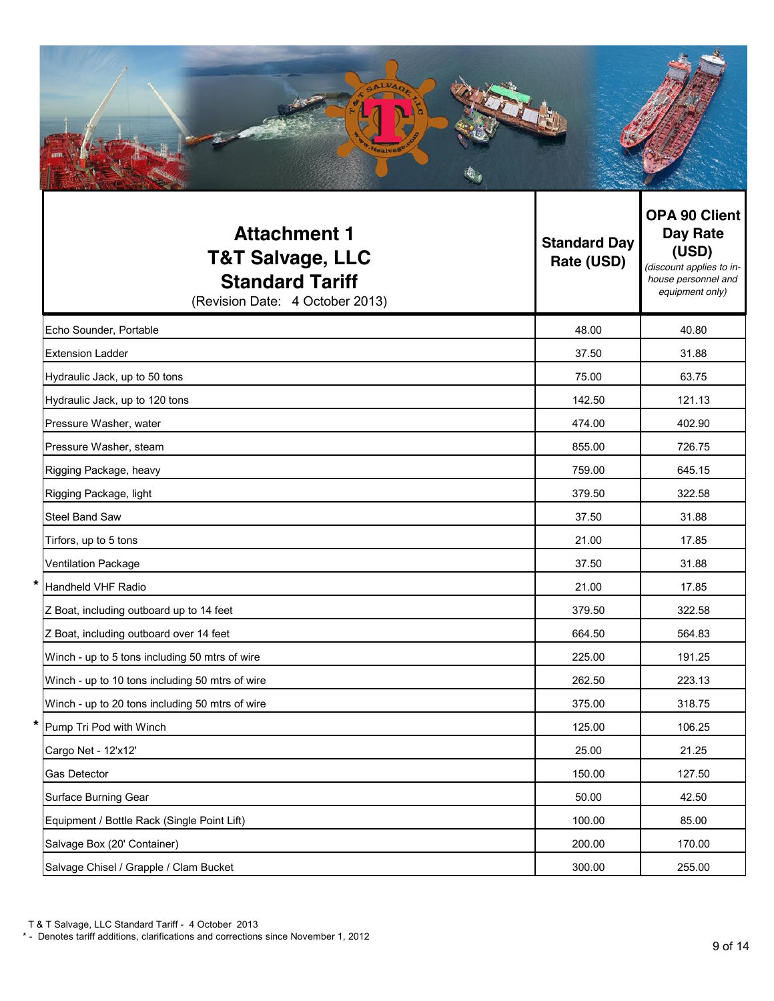| <b>Attachment 1</b><br><b>T&amp;T Salvage, LLC</b><br><b>Standard Tariff</b><br>(Revision Date: 4 October 2013) | <b>Standard Day</b><br>Rate (USD) | <b>OPA 90 Client</b><br>Day Rate<br>(USD)<br>(discount applies to in-<br>house personnel and<br>equipment only) |
|-----------------------------------------------------------------------------------------------------------------|-----------------------------------|-----------------------------------------------------------------------------------------------------------------|
| Echo Sounder, Portable                                                                                          | 48.00                             | 40.80                                                                                                           |
| <b>Extension Ladder</b>                                                                                         | 37.50                             | 31.88                                                                                                           |
| Hydraulic Jack, up to 50 tons                                                                                   | 75.00                             | 63.75                                                                                                           |
| Hydraulic Jack, up to 120 tons                                                                                  | 142.50                            | 121.13                                                                                                          |
| Pressure Washer, water                                                                                          | 474.00                            | 402.90                                                                                                          |
| Pressure Washer, steam                                                                                          | 855.00                            | 726.75                                                                                                          |
| Rigging Package, heavy                                                                                          | 759.00                            | 645.15                                                                                                          |
| Rigging Package, light                                                                                          | 379.50                            | 322.58                                                                                                          |
| <b>Steel Band Saw</b>                                                                                           | 37.50                             | 31.88                                                                                                           |
| Tirfors, up to 5 tons                                                                                           | 21.00                             | 17.85                                                                                                           |
| Ventilation Package                                                                                             | 37.50                             | 31.88                                                                                                           |
| Handheld VHF Radio                                                                                              | 21.00                             | 17.85                                                                                                           |
| Z Boat, including outboard up to 14 feet                                                                        | 379.50                            | 322.58                                                                                                          |
| Z Boat, including outboard over 14 feet                                                                         | 664.50                            | 564.83                                                                                                          |
| Winch - up to 5 tons including 50 mtrs of wire                                                                  | 225.00                            | 191.25                                                                                                          |
| Winch - up to 10 tons including 50 mtrs of wire                                                                 | 262.50                            | 223.13                                                                                                          |
| Winch - up to 20 tons including 50 mtrs of wire                                                                 | 375.00                            | 318.75                                                                                                          |
| Pump Tri Pod with Winch                                                                                         | 125.00                            | 106.25                                                                                                          |

Cargo Net - 12'x12' 25.00 21.25 Gas Detector 150.00 127.50 Surface Burning Gear 42.50 Equipment / Bottle Rack (Single Point Lift) 100.00 85.00 Salvage Box (20' Container) 200.00 170.00 Salvage Chisel / Grapple / Clam Bucket 300.00 255.00

T & T Salvage, LLC Standard Tariff - 4 October 2013

\* - Denotes tariff additions, clarifications and corrections since November 1, 2012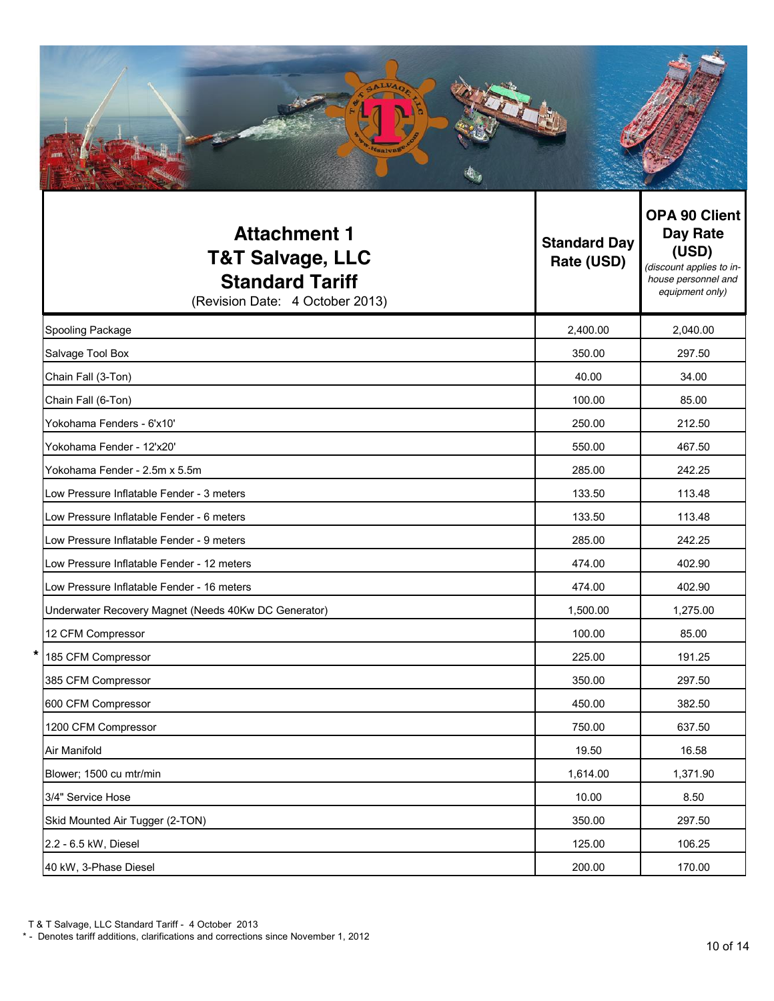| <b>Attachment 1</b><br><b>T&amp;T Salvage, LLC</b><br><b>Standard Tariff</b><br>(Revision Date: 4 October 2013) | <b>Standard Day</b><br>Rate (USD) | <b>OPA 90 Client</b><br>Day Rate<br>(USD)<br>(discount applies to in-<br>house personnel and<br>equipment only) |
|-----------------------------------------------------------------------------------------------------------------|-----------------------------------|-----------------------------------------------------------------------------------------------------------------|
| Spooling Package                                                                                                | 2,400.00                          | 2,040.00                                                                                                        |
| Salvage Tool Box                                                                                                | 350.00                            | 297.50                                                                                                          |
| Chain Fall (3-Ton)                                                                                              | 40.00                             | 34.00                                                                                                           |
| Chain Fall (6-Ton)                                                                                              | 100.00                            | 85.00                                                                                                           |
| Yokohama Fenders - 6'x10'                                                                                       | 250.00                            | 212.50                                                                                                          |
| Vokohama Fender - 12'y20'                                                                                       | 550.00                            | 46750                                                                                                           |

| Chain Fall (3-Ton)                                   | 40.00    | 34.00    |
|------------------------------------------------------|----------|----------|
| Chain Fall (6-Ton)                                   | 100.00   | 85.00    |
| Yokohama Fenders - 6'x10'                            | 250.00   | 212.50   |
| Yokohama Fender - 12'x20'                            | 550.00   | 467.50   |
| Yokohama Fender - 2.5m x 5.5m                        | 285.00   | 242.25   |
| Low Pressure Inflatable Fender - 3 meters            | 133.50   | 113.48   |
| Low Pressure Inflatable Fender - 6 meters            | 133.50   | 113.48   |
| Low Pressure Inflatable Fender - 9 meters            | 285.00   | 242.25   |
| Low Pressure Inflatable Fender - 12 meters           | 474.00   | 402.90   |
| Low Pressure Inflatable Fender - 16 meters           | 474.00   | 402.90   |
| Underwater Recovery Magnet (Needs 40Kw DC Generator) | 1,500.00 | 1,275.00 |
| 12 CFM Compressor                                    | 100.00   | 85.00    |
| *<br>185 CFM Compressor                              | 225.00   | 191.25   |
| 385 CFM Compressor                                   | 350.00   | 297.50   |
| 600 CFM Compressor                                   | 450.00   | 382.50   |
| 1200 CFM Compressor                                  | 750.00   | 637.50   |
| Air Manifold                                         | 19.50    | 16.58    |
| Blower; 1500 cu mtr/min                              | 1,614.00 | 1,371.90 |
| 3/4" Service Hose                                    | 10.00    | 8.50     |
| Skid Mounted Air Tugger (2-TON)                      | 350.00   | 297.50   |
| 2.2 - 6.5 kW, Diesel                                 | 125.00   | 106.25   |
| 40 kW, 3-Phase Diesel                                | 200.00   | 170.00   |

<sup>\* -</sup> Denotes tariff additions, clarifications and corrections since November 1, 2012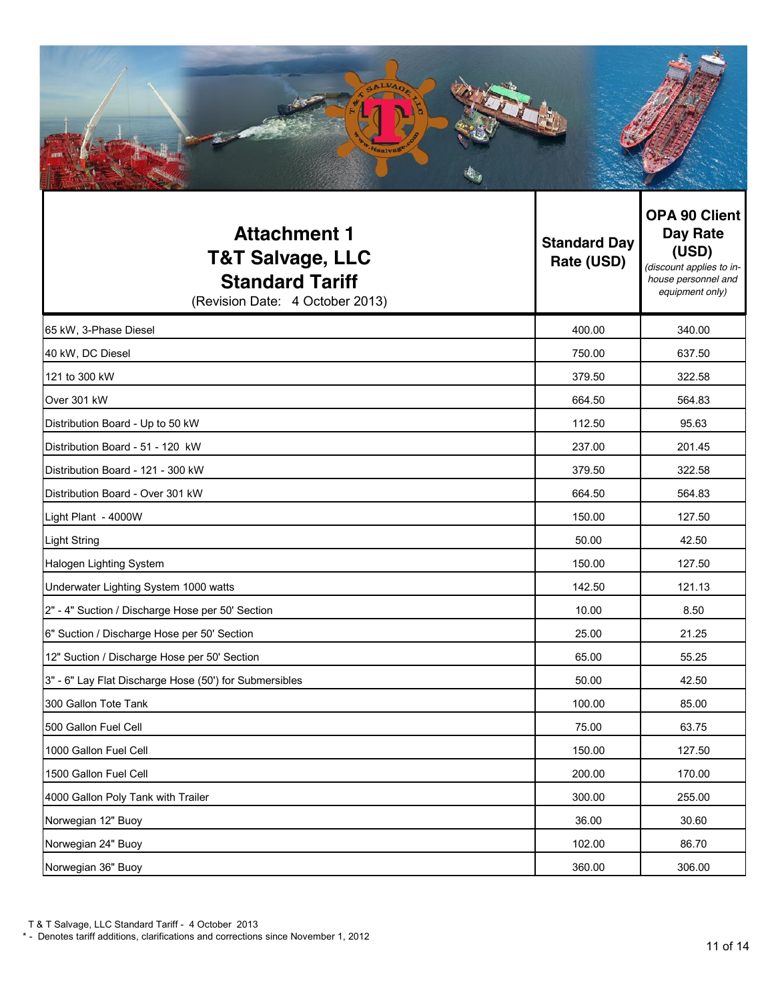| <b>Attachment 1</b><br><b>T&amp;T Salvage, LLC</b><br><b>Standard Tariff</b><br>(Revision Date: 4 October 2013) | <b>Standard Day</b><br>Rate (USD) | <b>OPA 90 Client</b><br>Day Rate<br>(USD)<br>(discount applies to in-<br>house personnel and<br>equipment only) |  |
|-----------------------------------------------------------------------------------------------------------------|-----------------------------------|-----------------------------------------------------------------------------------------------------------------|--|
| 65 kW, 3-Phase Diesel                                                                                           | 400.00                            | 340.00                                                                                                          |  |
| 40 kW, DC Diesel                                                                                                | 750.00                            | 637.50                                                                                                          |  |
| 121 to 300 kW                                                                                                   | 379.50                            | 322.58                                                                                                          |  |
| Over 301 kW                                                                                                     | 664.50                            | 564.83                                                                                                          |  |
| Distribution Board - Up to 50 kW                                                                                | 112.50                            | 95.63                                                                                                           |  |
| Distribution Board - 51 - 120 kW                                                                                | 237.00                            | 201.45                                                                                                          |  |
| Distribution Board - 121 - 300 kW                                                                               | 379.50                            | 322.58                                                                                                          |  |
| Distribution Board - Over 301 kW                                                                                | 664.50                            | 564.83                                                                                                          |  |
| Light Plant - 4000W                                                                                             | 150.00                            | 127.50                                                                                                          |  |
| <b>Light String</b>                                                                                             | 50.00                             | 42.50                                                                                                           |  |
| Halogen Lighting System                                                                                         | 150.00                            | 127.50                                                                                                          |  |
| Underwater Lighting System 1000 watts                                                                           | 142.50                            | 121.13                                                                                                          |  |
| 2" - 4" Suction / Discharge Hose per 50' Section                                                                | 10.00                             | 8.50                                                                                                            |  |
| 6" Suction / Discharge Hose per 50' Section                                                                     | 25.00                             | 21.25                                                                                                           |  |
| 12" Suction / Discharge Hose per 50' Section                                                                    | 65.00                             | 55.25                                                                                                           |  |

| 1000 Gallon Fuel Cell              | 150.00 | 127.50 |
|------------------------------------|--------|--------|
| 1500 Gallon Fuel Cell              | 200.00 | 170.00 |
| 4000 Gallon Poly Tank with Trailer | 300.00 | 255.00 |
| Norwegian 12" Buoy                 | 36.00  | 30.60  |
| Norwegian 24" Buoy                 | 102.00 | 86.70  |
| Norwegian 36" Buoy                 | 360.00 | 306.00 |

3" - 6" Lay Flat Discharge Hose (50') for Submersibles 50.00 50.00 42.50 allon Tote Tank 100.00 and 100.00 and 100.00 and 100.00 and 100.00 and 100.00 and 100.00 and 100.00 and 100.00 500 Gallon Fuel Cell 75.00 63.75

<sup>\* -</sup> Denotes tariff additions, clarifications and corrections since November 1, 2012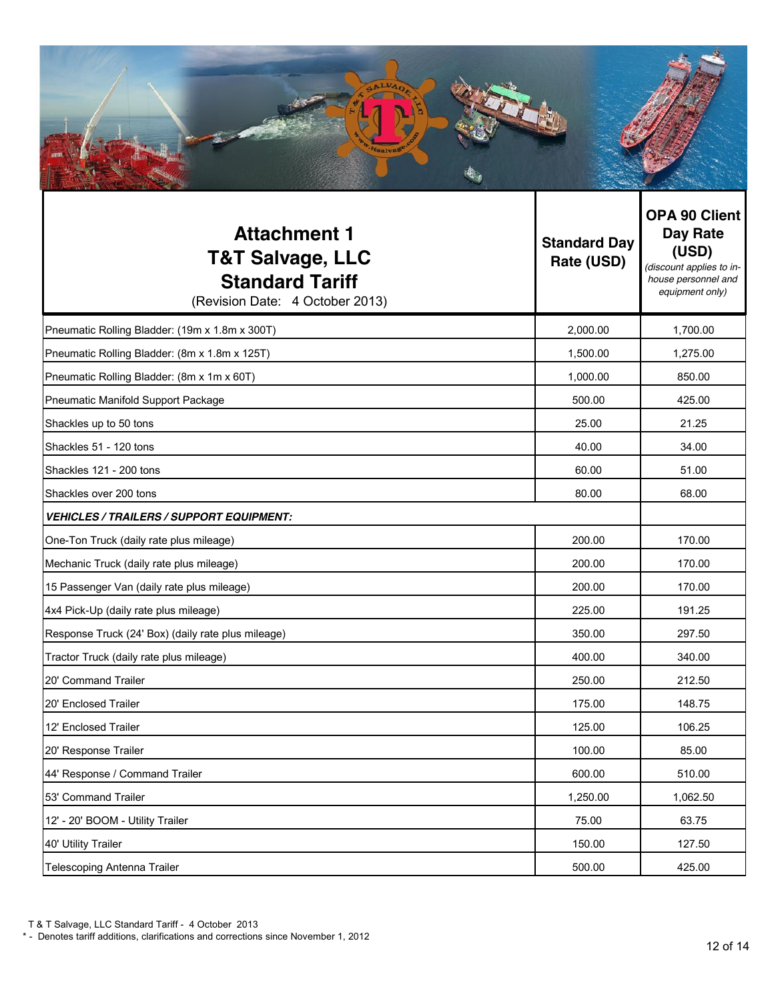| <b>Attachment 1</b><br><b>T&amp;T Salvage, LLC</b><br><b>Standard Tariff</b><br>(Revision Date: 4 October 2013) | <b>Standard Day</b><br>Rate (USD) | <b>OPA 90 Client</b><br>Day Rate<br>(USD)<br>(discount applies to in-<br>house personnel and<br>equipment only) |  |
|-----------------------------------------------------------------------------------------------------------------|-----------------------------------|-----------------------------------------------------------------------------------------------------------------|--|
| Pneumatic Rolling Bladder: (19m x 1.8m x 300T)                                                                  | 2,000.00                          | 1,700.00                                                                                                        |  |
| Pneumatic Rolling Bladder: (8m x 1.8m x 125T)                                                                   | 1,500.00                          | 1,275.00                                                                                                        |  |
| Pneumatic Rolling Bladder: (8m x 1m x 60T)                                                                      | 1,000.00                          | 850.00                                                                                                          |  |
| Pneumatic Manifold Support Package                                                                              | 500.00                            | 425.00                                                                                                          |  |
| Shackles up to 50 tons                                                                                          | 25.00                             | 21.25                                                                                                           |  |
| Shackles 51 - 120 tons                                                                                          | 40.00                             | 34.00                                                                                                           |  |
| Shackles 121 - 200 tons                                                                                         | 60.00                             | 51.00                                                                                                           |  |
| Shackles over 200 tons                                                                                          | 80.00                             | 68.00                                                                                                           |  |
| <b>VEHICLES / TRAILERS / SUPPORT EQUIPMENT:</b>                                                                 |                                   |                                                                                                                 |  |
| One-Ton Truck (daily rate plus mileage)                                                                         | 200.00                            | 170.00                                                                                                          |  |
| Mechanic Truck (daily rate plus mileage)                                                                        | 200.00                            | 170.00                                                                                                          |  |
| 15 Passenger Van (daily rate plus mileage)                                                                      | 200.00                            | 170.00                                                                                                          |  |
| 4x4 Pick-Up (daily rate plus mileage)                                                                           | 225.00                            | 191.25                                                                                                          |  |
| Response Truck (24' Box) (daily rate plus mileage)                                                              | 350.00                            | 297.50                                                                                                          |  |
| Tractor Truck (daily rate plus mileage)                                                                         | 400.00                            | 340.00                                                                                                          |  |
| 20' Command Trailer                                                                                             | 250.00                            | 212.50                                                                                                          |  |
| 20' Enclosed Trailer                                                                                            | 175.00                            | 148.75                                                                                                          |  |
| 12' Enclosed Trailer                                                                                            | 125.00                            | 106.25                                                                                                          |  |
| 20' Response Trailer                                                                                            | 100.00                            | 85.00                                                                                                           |  |
| 44' Response / Command Trailer                                                                                  | 600.00                            | 510.00                                                                                                          |  |
| 53' Command Trailer                                                                                             | 1,250.00                          | 1,062.50                                                                                                        |  |
| 12' - 20' BOOM - Utility Trailer                                                                                | 75.00                             | 63.75                                                                                                           |  |
| 40' Utility Trailer                                                                                             | 150.00                            | 127.50                                                                                                          |  |
| Telescoping Antenna Trailer                                                                                     | 500.00                            | 425.00                                                                                                          |  |

T & T Salvage, LLC Standard Tariff - 4 October 2013

<sup>\* -</sup> Denotes tariff additions, clarifications and corrections since November 1, 2012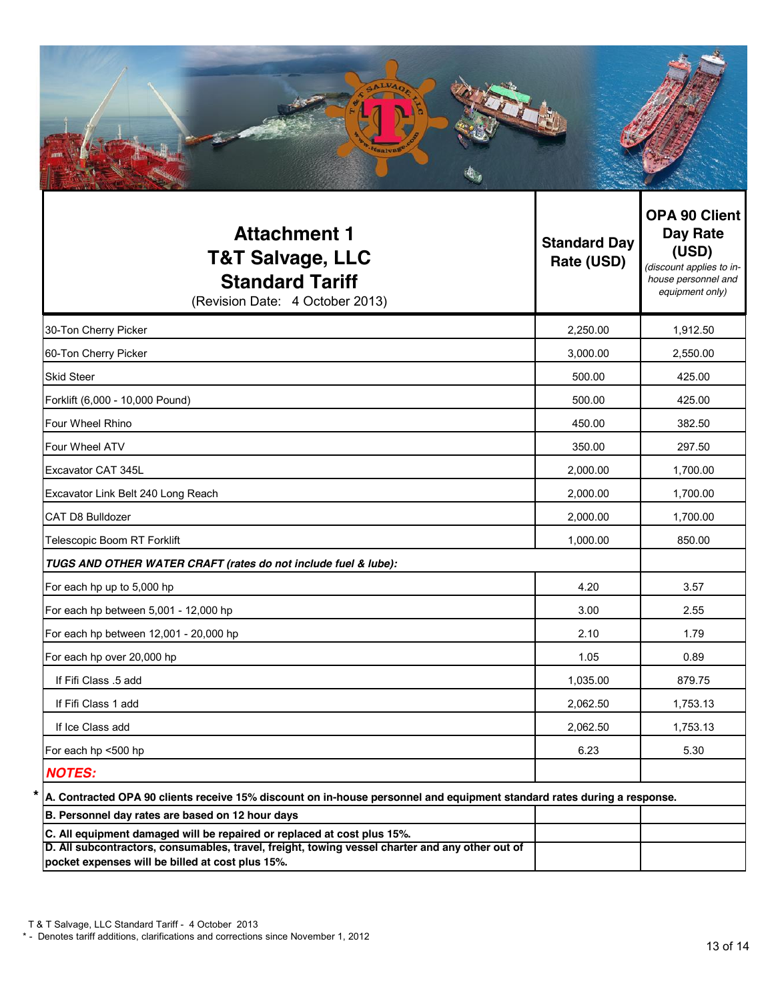| <b>Attachment 1</b><br><b>T&amp;T Salvage, LLC</b><br><b>Standard Tariff</b><br>(Revision Date: 4 October 2013)                                                                                                                | <b>Standard Day</b><br>Rate (USD) | <b>OPA 90 Client</b><br>Day Rate<br>(USD)<br>(discount applies to in-<br>house personnel and<br>equipment only) |
|--------------------------------------------------------------------------------------------------------------------------------------------------------------------------------------------------------------------------------|-----------------------------------|-----------------------------------------------------------------------------------------------------------------|
| 30-Ton Cherry Picker                                                                                                                                                                                                           | 2,250.00                          | 1,912.50                                                                                                        |
| 60-Ton Cherry Picker                                                                                                                                                                                                           | 3,000.00                          | 2,550.00                                                                                                        |
| <b>Skid Steer</b>                                                                                                                                                                                                              | 500.00                            | 425.00                                                                                                          |
| Forklift (6,000 - 10,000 Pound)                                                                                                                                                                                                | 500.00                            | 425.00                                                                                                          |
| Four Wheel Rhino                                                                                                                                                                                                               | 450.00                            | 382.50                                                                                                          |
| Four Wheel ATV                                                                                                                                                                                                                 | 350.00                            | 297.50                                                                                                          |
| Excavator CAT 345L                                                                                                                                                                                                             | 2,000.00                          | 1,700.00                                                                                                        |
| Excavator Link Belt 240 Long Reach                                                                                                                                                                                             | 2,000.00                          | 1,700.00                                                                                                        |
| CAT D8 Bulldozer                                                                                                                                                                                                               | 2,000.00                          | 1,700.00                                                                                                        |
| Telescopic Boom RT Forklift                                                                                                                                                                                                    | 1,000.00                          | 850.00                                                                                                          |
| TUGS AND OTHER WATER CRAFT (rates do not include fuel & lube):                                                                                                                                                                 |                                   |                                                                                                                 |
| For each hp up to 5,000 hp                                                                                                                                                                                                     | 4.20                              | 3.57                                                                                                            |
| For each hp between 5,001 - 12,000 hp                                                                                                                                                                                          | 3.00                              | 2.55                                                                                                            |
| For each hp between 12,001 - 20,000 hp                                                                                                                                                                                         | 2.10                              | 1.79                                                                                                            |
| For each hp over 20,000 hp                                                                                                                                                                                                     | 1.05                              | 0.89                                                                                                            |
| If Fifi Class .5 add                                                                                                                                                                                                           | 1,035.00                          | 879.75                                                                                                          |
| If Fifi Class 1 add                                                                                                                                                                                                            | 2,062.50                          | 1,753.13                                                                                                        |
| If Ice Class add                                                                                                                                                                                                               | 2,062.50                          | 1,753.13                                                                                                        |
| For each hp <500 hp                                                                                                                                                                                                            | 6.23                              | 5.30                                                                                                            |
| <b>NOTES:</b>                                                                                                                                                                                                                  |                                   |                                                                                                                 |
| A. Contracted OPA 90 clients receive 15% discount on in-house personnel and equipment standard rates during a response.                                                                                                        |                                   |                                                                                                                 |
| B. Personnel day rates are based on 12 hour days                                                                                                                                                                               |                                   |                                                                                                                 |
| C. All equipment damaged will be repaired or replaced at cost plus 15%.<br>D. All subcontractors, consumables, travel, freight, towing vessel charter and any other out of<br>pocket expenses will be billed at cost plus 15%. |                                   |                                                                                                                 |

<sup>\* -</sup> Denotes tariff additions, clarifications and corrections since November 1, 2012